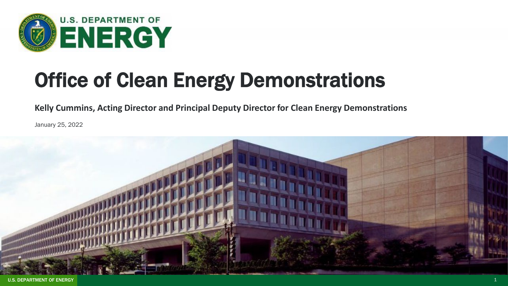

## Office of Clean Energy Demonstrations

**Kelly Cummins, Acting Director and Principal Deputy Director for Clean Energy Demonstrations**

January 25, 2022

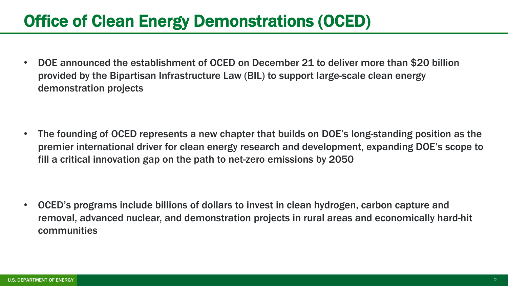## Office of Clean Energy Demonstrations (OCED)

• DOE announced the establishment of OCED on December 21 to deliver more than \$20 billion provided by the Bipartisan Infrastructure Law (BIL) to support large-scale clean energy demonstration projects

• The founding of OCED represents a new chapter that builds on DOE's long-standing position as the premier international driver for clean energy research and development, expanding DOE's scope to fill a critical innovation gap on the path to net-zero emissions by 2050

• OCED's programs include billions of dollars to invest in clean hydrogen, carbon capture and removal, advanced nuclear, and demonstration projects in rural areas and economically hard-hit communities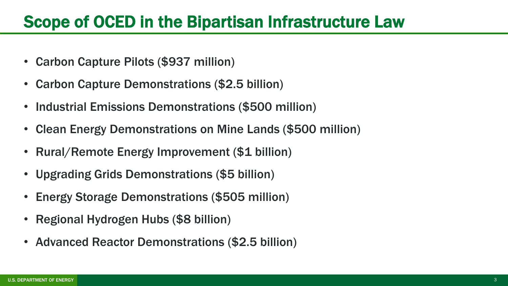## Scope of OCED in the Bipartisan Infrastructure Law

- Carbon Capture Pilots (\$937 million)
- Carbon Capture Demonstrations (\$2.5 billion)
- Industrial Emissions Demonstrations (\$500 million)
- Clean Energy Demonstrations on Mine Lands (\$500 million)
- Rural/Remote Energy Improvement (\$1 billion)
- Upgrading Grids Demonstrations (\$5 billion)
- Energy Storage Demonstrations (\$505 million)
- Regional Hydrogen Hubs (\$8 billion)
- Advanced Reactor Demonstrations (\$2.5 billion)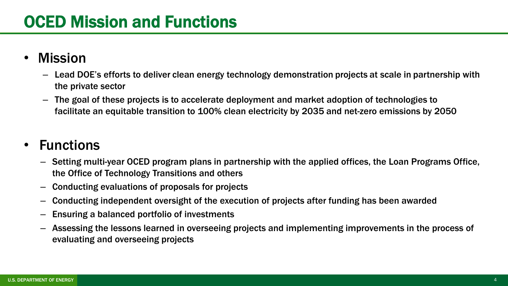- Mission
	- Lead DOE's efforts to deliver clean energy technology demonstration projects at scale in partnership with the private sector
	- The goal of these projects is to accelerate deployment and market adoption of technologies to facilitate an equitable transition to 100% clean electricity by 2035 and net-zero emissions by 2050

## • Functions

- Setting multi-year OCED program plans in partnership with the applied offices, the Loan Programs Office, the Office of Technology Transitions and others
- Conducting evaluations of proposals for projects
- Conducting independent oversight of the execution of projects after funding has been awarded
- Ensuring a balanced portfolio of investments
- Assessing the lessons learned in overseeing projects and implementing improvements in the process of evaluating and overseeing projects